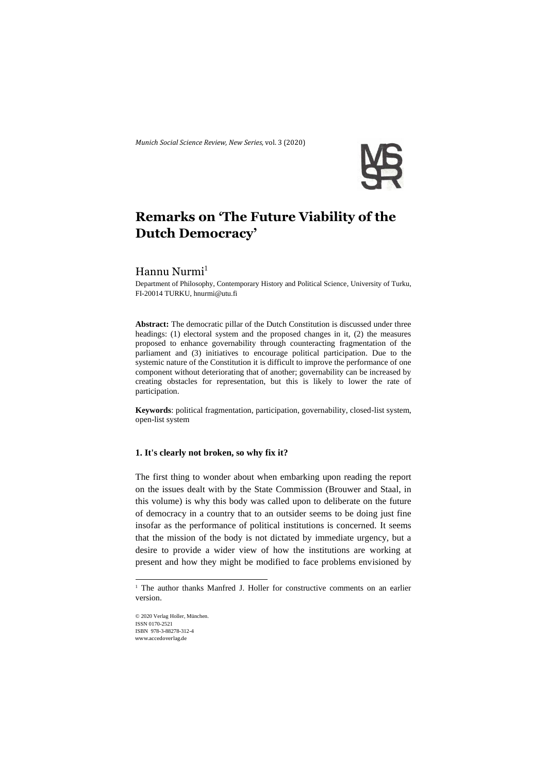*Munich Social Science Review*, *New Series,* vol. 3 (2020)



# **Remarks on 'The Future Viability of the Dutch Democracy'**

# Hannu Nurmi<sup>1</sup>

Department of Philosophy, Contemporary History and Political Science, University of Turku, FI-20014 TURKU[, hnurmi@utu.fi](mailto:hnurmi@utu.fi)

**Abstract:** The democratic pillar of the Dutch Constitution is discussed under three headings: (1) electoral system and the proposed changes in it, (2) the measures proposed to enhance governability through counteracting fragmentation of the parliament and (3) initiatives to encourage political participation. Due to the systemic nature of the Constitution it is difficult to improve the performance of one component without deteriorating that of another; governability can be increased by creating obstacles for representation, but this is likely to lower the rate of participation.

**Keywords**: political fragmentation, participation, governability, closed-list system, open-list system

### **1. It's clearly not broken, so why fix it?**

The first thing to wonder about when embarking upon reading the report on the issues dealt with by the State Commission (Brouwer and Staal, in this volume) is why this body was called upon to deliberate on the future of democracy in a country that to an outsider seems to be doing just fine insofar as the performance of political institutions is concerned. It seems that the mission of the body is not dictated by immediate urgency, but a desire to provide a wider view of how the institutions are working at present and how they might be modified to face problems envisioned by

© 2020 Verlag Holler, München. ISSN 0170-2521 ISBN 978-3-88278-312-4 www.accedoverlag.de

<sup>&</sup>lt;sup>1</sup> The author thanks Manfred J. Holler for constructive comments on an earlier version.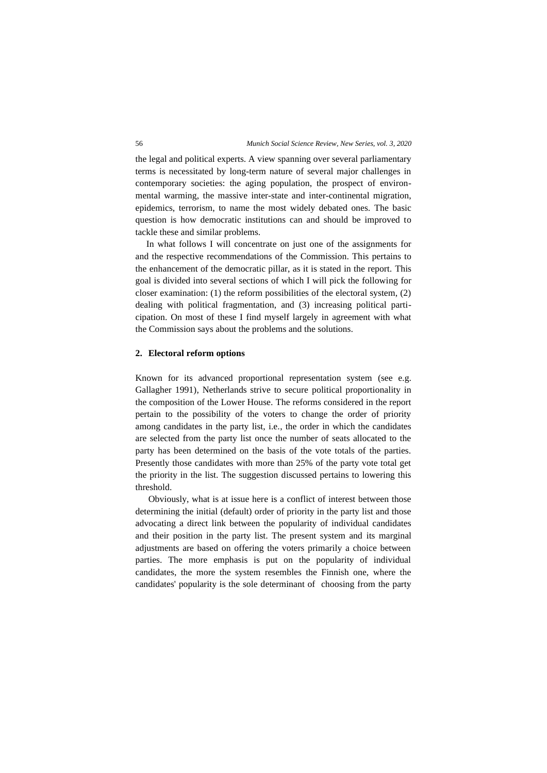the legal and political experts. A view spanning over several parliamentary terms is necessitated by long-term nature of several major challenges in contemporary societies: the aging population, the prospect of environmental warming, the massive inter-state and inter-continental migration, epidemics, terrorism, to name the most widely debated ones. The basic question is how democratic institutions can and should be improved to tackle these and similar problems.

In what follows I will concentrate on just one of the assignments for and the respective recommendations of the Commission. This pertains to the enhancement of the democratic pillar, as it is stated in the report. This goal is divided into several sections of which I will pick the following for closer examination: (1) the reform possibilities of the electoral system, (2) dealing with political fragmentation, and (3) increasing political participation. On most of these I find myself largely in agreement with what the Commission says about the problems and the solutions.

#### **2. Electoral reform options**

Known for its advanced proportional representation system (see e.g. Gallagher 1991), Netherlands strive to secure political proportionality in the composition of the Lower House. The reforms considered in the report pertain to the possibility of the voters to change the order of priority among candidates in the party list, i.e., the order in which the candidates are selected from the party list once the number of seats allocated to the party has been determined on the basis of the vote totals of the parties. Presently those candidates with more than 25% of the party vote total get the priority in the list. The suggestion discussed pertains to lowering this threshold.

Obviously, what is at issue here is a conflict of interest between those determining the initial (default) order of priority in the party list and those advocating a direct link between the popularity of individual candidates and their position in the party list. The present system and its marginal adjustments are based on offering the voters primarily a choice between parties. The more emphasis is put on the popularity of individual candidates, the more the system resembles the Finnish one, where the candidates' popularity is the sole determinant of choosing from the party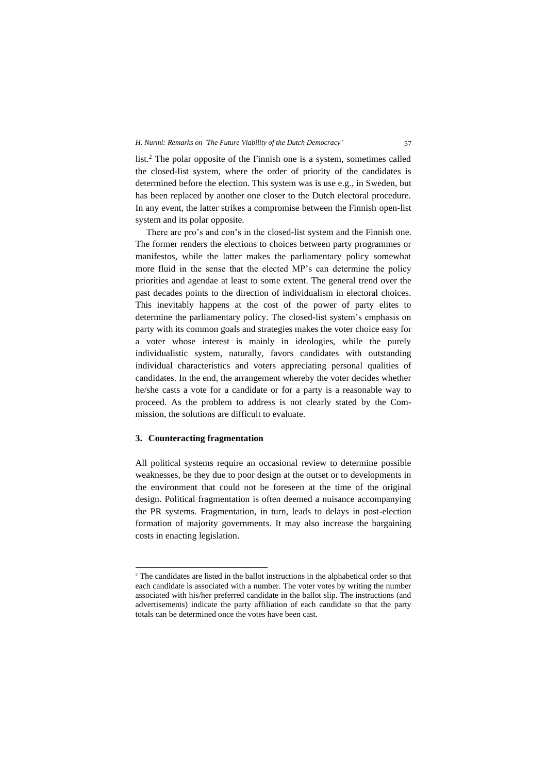list.<sup>2</sup> The polar opposite of the Finnish one is a system, sometimes called the closed-list system, where the order of priority of the candidates is determined before the election. This system was is use e.g., in Sweden, but has been replaced by another one closer to the Dutch electoral procedure. In any event, the latter strikes a compromise between the Finnish open-list system and its polar opposite.

There are pro's and con's in the closed-list system and the Finnish one. The former renders the elections to choices between party programmes or manifestos, while the latter makes the parliamentary policy somewhat more fluid in the sense that the elected MP's can determine the policy priorities and agendae at least to some extent. The general trend over the past decades points to the direction of individualism in electoral choices. This inevitably happens at the cost of the power of party elites to determine the parliamentary policy. The closed-list system's emphasis on party with its common goals and strategies makes the voter choice easy for a voter whose interest is mainly in ideologies, while the purely individualistic system, naturally, favors candidates with outstanding individual characteristics and voters appreciating personal qualities of candidates. In the end, the arrangement whereby the voter decides whether he/she casts a vote for a candidate or for a party is a reasonable way to proceed. As the problem to address is not clearly stated by the Commission, the solutions are difficult to evaluate.

## **3. Counteracting fragmentation**

All political systems require an occasional review to determine possible weaknesses, be they due to poor design at the outset or to developments in the environment that could not be foreseen at the time of the original design. Political fragmentation is often deemed a nuisance accompanying the PR systems. Fragmentation, in turn, leads to delays in post-election formation of majority governments. It may also increase the bargaining costs in enacting legislation.

<sup>&</sup>lt;sup>2</sup> The candidates are listed in the ballot instructions in the alphabetical order so that each candidate is associated with a number. The voter votes by writing the number associated with his/her preferred candidate in the ballot slip. The instructions (and advertisements) indicate the party affiliation of each candidate so that the party totals can be determined once the votes have been cast.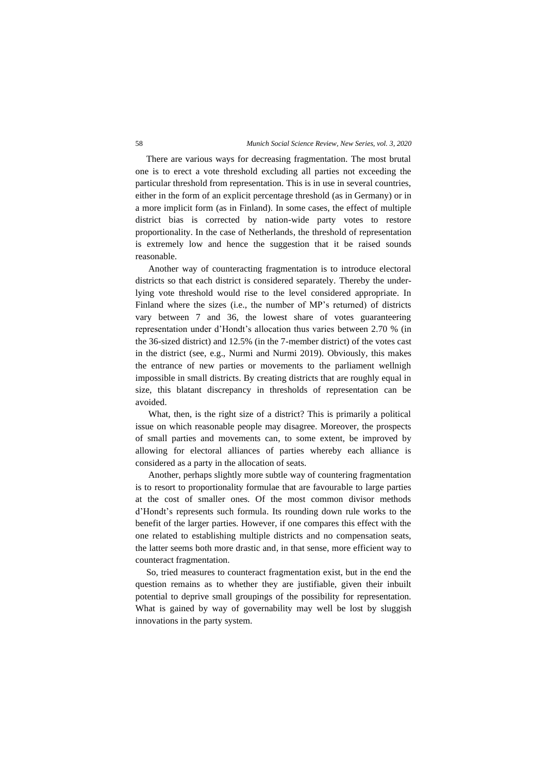There are various ways for decreasing fragmentation. The most brutal one is to erect a vote threshold excluding all parties not exceeding the particular threshold from representation. This is in use in several countries, either in the form of an explicit percentage threshold (as in Germany) or in a more implicit form (as in Finland). In some cases, the effect of multiple district bias is corrected by nation-wide party votes to restore proportionality. In the case of Netherlands, the threshold of representation is extremely low and hence the suggestion that it be raised sounds reasonable.

Another way of counteracting fragmentation is to introduce electoral districts so that each district is considered separately. Thereby the underlying vote threshold would rise to the level considered appropriate. In Finland where the sizes (i.e., the number of MP's returned) of districts vary between 7 and 36, the lowest share of votes guaranteering representation under d'Hondt's allocation thus varies between 2.70 % (in the 36-sized district) and 12.5% (in the 7-member district) of the votes cast in the district (see, e.g., Nurmi and Nurmi 2019). Obviously, this makes the entrance of new parties or movements to the parliament wellnigh impossible in small districts. By creating districts that are roughly equal in size, this blatant discrepancy in thresholds of representation can be avoided.

What, then, is the right size of a district? This is primarily a political issue on which reasonable people may disagree. Moreover, the prospects of small parties and movements can, to some extent, be improved by allowing for electoral alliances of parties whereby each alliance is considered as a party in the allocation of seats.

Another, perhaps slightly more subtle way of countering fragmentation is to resort to proportionality formulae that are favourable to large parties at the cost of smaller ones. Of the most common divisor methods d'Hondt's represents such formula. Its rounding down rule works to the benefit of the larger parties. However, if one compares this effect with the one related to establishing multiple districts and no compensation seats, the latter seems both more drastic and, in that sense, more efficient way to counteract fragmentation.

So, tried measures to counteract fragmentation exist, but in the end the question remains as to whether they are justifiable, given their inbuilt potential to deprive small groupings of the possibility for representation. What is gained by way of governability may well be lost by sluggish innovations in the party system.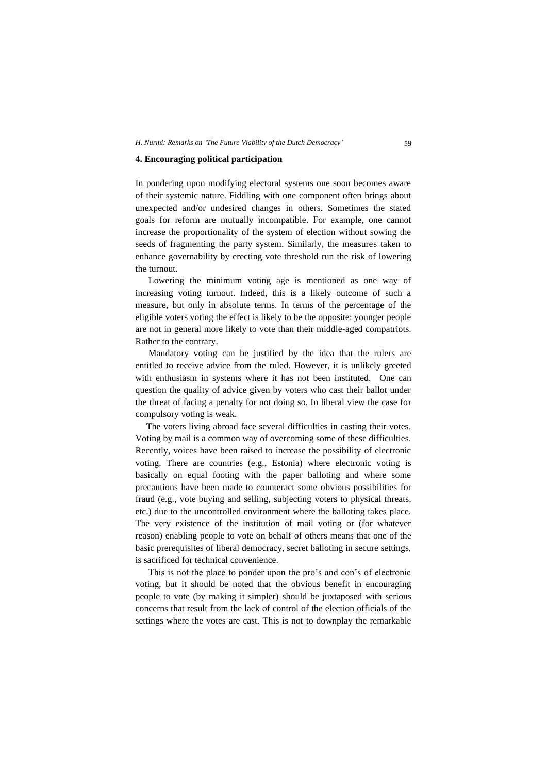#### **4. Encouraging political participation**

In pondering upon modifying electoral systems one soon becomes aware of their systemic nature. Fiddling with one component often brings about unexpected and/or undesired changes in others. Sometimes the stated goals for reform are mutually incompatible. For example, one cannot increase the proportionality of the system of election without sowing the seeds of fragmenting the party system. Similarly, the measures taken to enhance governability by erecting vote threshold run the risk of lowering the turnout.

Lowering the minimum voting age is mentioned as one way of increasing voting turnout. Indeed, this is a likely outcome of such a measure, but only in absolute terms. In terms of the percentage of the eligible voters voting the effect is likely to be the opposite: younger people are not in general more likely to vote than their middle-aged compatriots. Rather to the contrary.

Mandatory voting can be justified by the idea that the rulers are entitled to receive advice from the ruled. However, it is unlikely greeted with enthusiasm in systems where it has not been instituted. One can question the quality of advice given by voters who cast their ballot under the threat of facing a penalty for not doing so. In liberal view the case for compulsory voting is weak.

The voters living abroad face several difficulties in casting their votes. Voting by mail is a common way of overcoming some of these difficulties. Recently, voices have been raised to increase the possibility of electronic voting. There are countries (e.g., Estonia) where electronic voting is basically on equal footing with the paper balloting and where some precautions have been made to counteract some obvious possibilities for fraud (e.g., vote buying and selling, subjecting voters to physical threats, etc.) due to the uncontrolled environment where the balloting takes place. The very existence of the institution of mail voting or (for whatever reason) enabling people to vote on behalf of others means that one of the basic prerequisites of liberal democracy, secret balloting in secure settings, is sacrificed for technical convenience.

This is not the place to ponder upon the pro's and con's of electronic voting, but it should be noted that the obvious benefit in encouraging people to vote (by making it simpler) should be juxtaposed with serious concerns that result from the lack of control of the election officials of the settings where the votes are cast. This is not to downplay the remarkable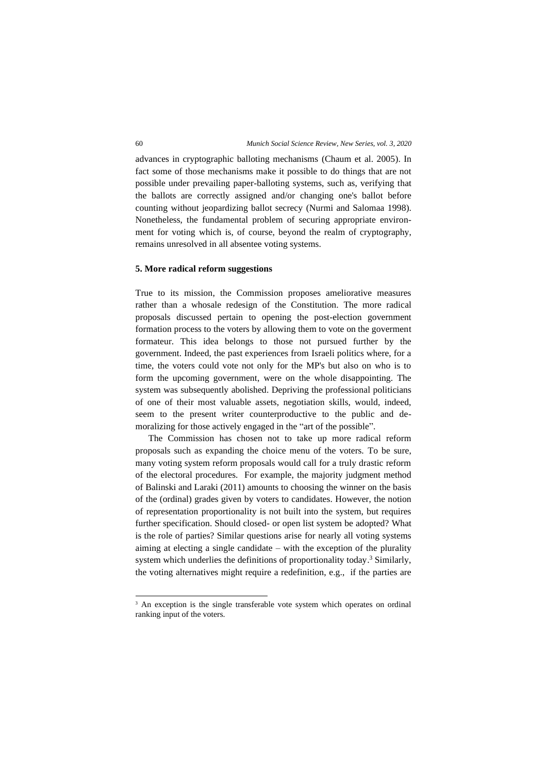advances in cryptographic balloting mechanisms (Chaum et al. 2005). In fact some of those mechanisms make it possible to do things that are not possible under prevailing paper-balloting systems, such as, verifying that the ballots are correctly assigned and/or changing one's ballot before counting without jeopardizing ballot secrecy (Nurmi and Salomaa 1998). Nonetheless, the fundamental problem of securing appropriate environment for voting which is, of course, beyond the realm of cryptography, remains unresolved in all absentee voting systems.

#### **5. More radical reform suggestions**

True to its mission, the Commission proposes ameliorative measures rather than a whosale redesign of the Constitution. The more radical proposals discussed pertain to opening the post-election government formation process to the voters by allowing them to vote on the goverment formateur. This idea belongs to those not pursued further by the government. Indeed, the past experiences from Israeli politics where, for a time, the voters could vote not only for the MP's but also on who is to form the upcoming government, were on the whole disappointing. The system was subsequently abolished. Depriving the professional politicians of one of their most valuable assets, negotiation skills, would, indeed, seem to the present writer counterproductive to the public and demoralizing for those actively engaged in the "art of the possible".

The Commission has chosen not to take up more radical reform proposals such as expanding the choice menu of the voters. To be sure, many voting system reform proposals would call for a truly drastic reform of the electoral procedures. For example, the majority judgment method of Balinski and Laraki (2011) amounts to choosing the winner on the basis of the (ordinal) grades given by voters to candidates. However, the notion of representation proportionality is not built into the system, but requires further specification. Should closed- or open list system be adopted? What is the role of parties? Similar questions arise for nearly all voting systems aiming at electing a single candidate – with the exception of the plurality system which underlies the definitions of proportionality today. <sup>3</sup> Similarly, the voting alternatives might require a redefinition, e.g., if the parties are

<sup>&</sup>lt;sup>3</sup> An exception is the single transferable vote system which operates on ordinal ranking input of the voters.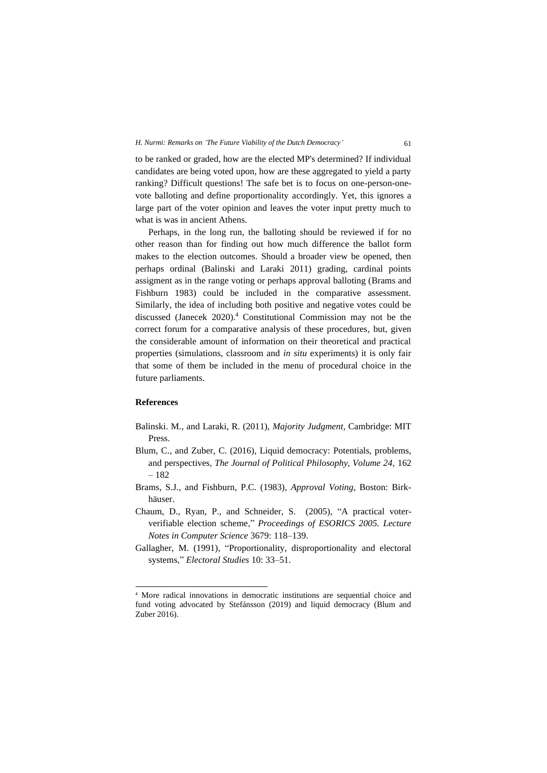to be ranked or graded, how are the elected MP's determined? If individual candidates are being voted upon, how are these aggregated to yield a party ranking? Difficult questions! The safe bet is to focus on one-person-onevote balloting and define proportionality accordingly. Yet, this ignores a large part of the voter opinion and leaves the voter input pretty much to what is was in ancient Athens.

Perhaps, in the long run, the balloting should be reviewed if for no other reason than for finding out how much difference the ballot form makes to the election outcomes. Should a broader view be opened, then perhaps ordinal (Balinski and Laraki 2011) grading, cardinal points assigment as in the range voting or perhaps approval balloting (Brams and Fishburn 1983) could be included in the comparative assessment. Similarly, the idea of including both positive and negative votes could be discussed (Janecek 2020).<sup>4</sup> Constitutional Commission may not be the correct forum for a comparative analysis of these procedures, but, given the considerable amount of information on their theoretical and practical properties (simulations, classroom and *in situ* experiments) it is only fair that some of them be included in the menu of procedural choice in the future parliaments.

## **References**

- Balinski. M., and Laraki, R. (2011), *Majority Judgment,* Cambridge: MIT Press.
- Blum, C., and Zuber, C. (2016), Liquid democracy: Potentials, problems, and perspectives, *The Journal of Political Philosophy, Volume 24,* 162 – 182
- Brams, S.J., and Fishburn, P.C. (1983), *Approval Voting,* Boston: Birkhäuser.
- Chaum, D., Ryan, P., and Schneider, S. (2005), "A practical voterverifiable election scheme," *Proceedings of ESORICS 2005. Lecture Notes in Computer Science* 3679: 118–139.
- Gallagher, M. (1991), "Proportionality, disproportionality and electoral systems," *Electoral Studies* 10: 33–51.

<sup>4</sup> More radical innovations in democratic institutions are sequential choice and fund voting advocated by Stefánsson (2019) and liquid democracy (Blum and Zuber 2016).